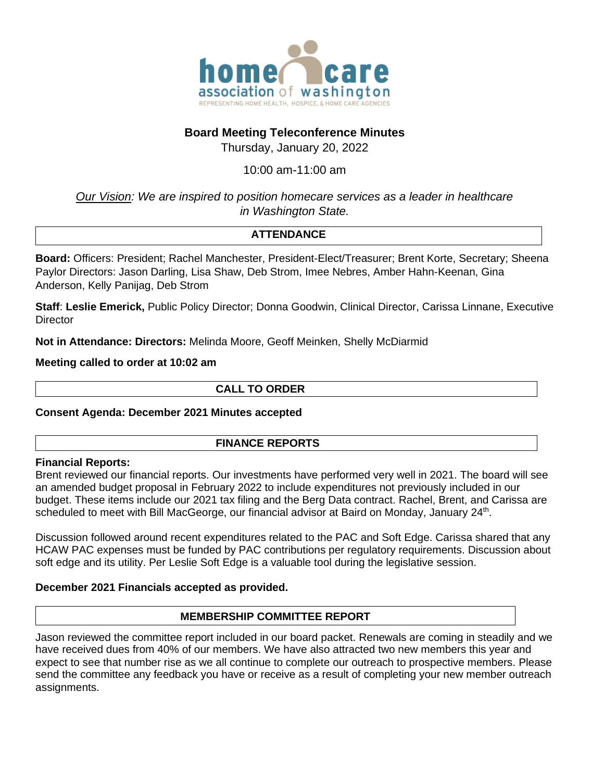

# **Board Meeting Teleconference Minutes**

Thursday, January 20, 2022

# 10:00 am-11:00 am

*Our Vision: We are inspired to position homecare services as a leader in healthcare in Washington State.*

## **ATTENDANCE**

**Board:** Officers: President; Rachel Manchester, President-Elect/Treasurer; Brent Korte, Secretary; Sheena Paylor Directors: Jason Darling, Lisa Shaw, Deb Strom, Imee Nebres, Amber Hahn-Keenan, Gina Anderson, Kelly Panijag, Deb Strom

**Staff**: **Leslie Emerick,** Public Policy Director; Donna Goodwin, Clinical Director, Carissa Linnane, Executive **Director** 

**Not in Attendance: Directors:** Melinda Moore, Geoff Meinken, Shelly McDiarmid

**Meeting called to order at 10:02 am** 

### **CALL TO ORDER**

#### **Consent Agenda: December 2021 Minutes accepted**

#### **FINANCE REPORTS**

### **Financial Reports:**

Brent reviewed our financial reports. Our investments have performed very well in 2021. The board will see an amended budget proposal in February 2022 to include expenditures not previously included in our budget. These items include our 2021 tax filing and the Berg Data contract. Rachel, Brent, and Carissa are scheduled to meet with Bill MacGeorge, our financial advisor at Baird on Monday, January 24<sup>th</sup>.

Discussion followed around recent expenditures related to the PAC and Soft Edge. Carissa shared that any HCAW PAC expenses must be funded by PAC contributions per regulatory requirements. Discussion about soft edge and its utility. Per Leslie Soft Edge is a valuable tool during the legislative session.

#### **December 2021 Financials accepted as provided.**

## **MEMBERSHIP COMMITTEE REPORT**

Jason reviewed the committee report included in our board packet. Renewals are coming in steadily and we have received dues from 40% of our members. We have also attracted two new members this year and expect to see that number rise as we all continue to complete our outreach to prospective members. Please send the committee any feedback you have or receive as a result of completing your new member outreach assignments.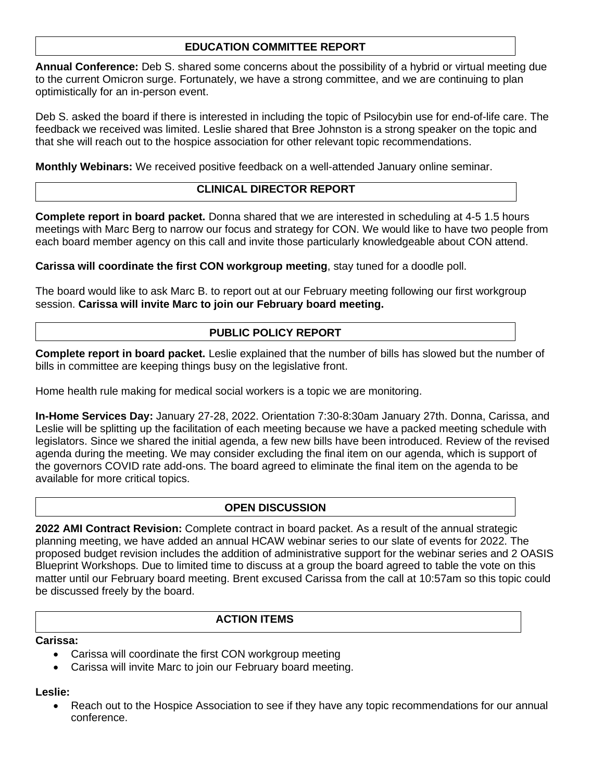## **EDUCATION COMMITTEE REPORT**

**Annual Conference:** Deb S. shared some concerns about the possibility of a hybrid or virtual meeting due to the current Omicron surge. Fortunately, we have a strong committee, and we are continuing to plan optimistically for an in-person event.

Deb S. asked the board if there is interested in including the topic of Psilocybin use for end-of-life care. The feedback we received was limited. Leslie shared that Bree Johnston is a strong speaker on the topic and that she will reach out to the hospice association for other relevant topic recommendations.

**Monthly Webinars:** We received positive feedback on a well-attended January online seminar.

## **CLINICAL DIRECTOR REPORT**

**Complete report in board packet.** Donna shared that we are interested in scheduling at 4-5 1.5 hours meetings with Marc Berg to narrow our focus and strategy for CON. We would like to have two people from each board member agency on this call and invite those particularly knowledgeable about CON attend.

**Carissa will coordinate the first CON workgroup meeting**, stay tuned for a doodle poll.

The board would like to ask Marc B. to report out at our February meeting following our first workgroup session. **Carissa will invite Marc to join our February board meeting.**

## **PUBLIC POLICY REPORT**

**Complete report in board packet.** Leslie explained that the number of bills has slowed but the number of bills in committee are keeping things busy on the legislative front.

Home health rule making for medical social workers is a topic we are monitoring.

**In-Home Services Day:** January 27-28, 2022. Orientation 7:30-8:30am January 27th. Donna, Carissa, and Leslie will be splitting up the facilitation of each meeting because we have a packed meeting schedule with legislators. Since we shared the initial agenda, a few new bills have been introduced. Review of the revised agenda during the meeting. We may consider excluding the final item on our agenda, which is support of the governors COVID rate add-ons. The board agreed to eliminate the final item on the agenda to be available for more critical topics.

## **OPEN DISCUSSION**

**2022 AMI Contract Revision:** Complete contract in board packet. As a result of the annual strategic planning meeting, we have added an annual HCAW webinar series to our slate of events for 2022. The proposed budget revision includes the addition of administrative support for the webinar series and 2 OASIS Blueprint Workshops. Due to limited time to discuss at a group the board agreed to table the vote on this matter until our February board meeting. Brent excused Carissa from the call at 10:57am so this topic could be discussed freely by the board.

## **ACTION ITEMS**

#### **Carissa:**

- Carissa will coordinate the first CON workgroup meeting
- Carissa will invite Marc to join our February board meeting.

## **Leslie:**

• Reach out to the Hospice Association to see if they have any topic recommendations for our annual conference.